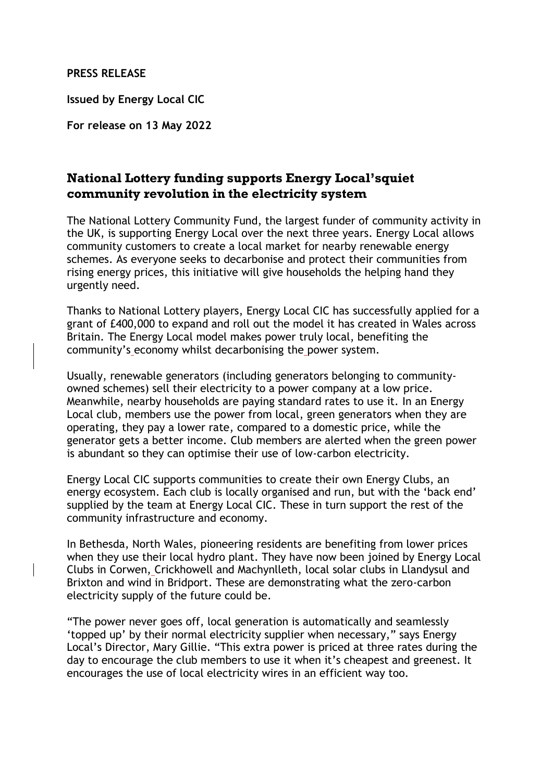## **PRESS RELEASE**

**Issued by Energy Local CIC**

**For release on 13 May 2022**

## **National Lottery funding supports Energy Local'squiet community revolution in the electricity system**

The National Lottery Community Fund, the largest funder of community activity in the UK, is supporting Energy Local over the next three years. Energy Local allows community customers to create a local market for nearby renewable energy schemes. As everyone seeks to decarbonise and protect their communities from rising energy prices, this initiative will give households the helping hand they urgently need.

Thanks to National Lottery players, Energy Local CIC has successfully applied for a grant of £400,000 to expand and roll out the model it has created in Wales across Britain. The Energy Local model makes power truly local, benefiting the community's economy whilst decarbonising the power system.

Usually, renewable generators (including generators belonging to communityowned schemes) sell their electricity to a power company at a low price. Meanwhile, nearby households are paying standard rates to use it. In an Energy Local club, members use the power from local, green generators when they are operating, they pay a lower rate, compared to a domestic price, while the generator gets a better income. Club members are alerted when the green power is abundant so they can optimise their use of low-carbon electricity.

Energy Local CIC supports communities to create their own Energy Clubs, an energy ecosystem. Each club is locally organised and run, but with the 'back end' supplied by the team at Energy Local CIC. These in turn support the rest of the community infrastructure and economy.

In Bethesda, North Wales, pioneering residents are benefiting from lower prices when they use their local hydro plant. They have now been joined by Energy Local Clubs in Corwen, Crickhowell and Machynlleth, local solar clubs in Llandysul and Brixton and wind in Bridport. These are demonstrating what the zero-carbon electricity supply of the future could be.

"The power never goes off, local generation is automatically and seamlessly 'topped up' by their normal electricity supplier when necessary," says Energy Local's Director, Mary Gillie. "This extra power is priced at three rates during the day to encourage the club members to use it when it's cheapest and greenest. It encourages the use of local electricity wires in an efficient way too.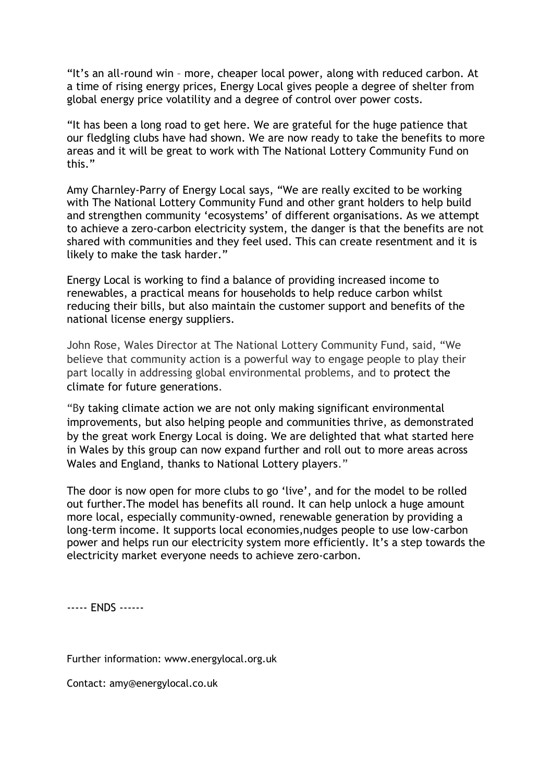"It's an all-round win – more, cheaper local power, along with reduced carbon. At a time of rising energy prices, Energy Local gives people a degree of shelter from global energy price volatility and a degree of control over power costs.

"It has been a long road to get here. We are grateful for the huge patience that our fledgling clubs have had shown. We are now ready to take the benefits to more areas and it will be great to work with The National Lottery Community Fund on this."

Amy Charnley-Parry of Energy Local says, "We are really excited to be working with The National Lottery Community Fund and other grant holders to help build and strengthen community 'ecosystems' of different organisations. As we attempt to achieve a zero-carbon electricity system, the danger is that the benefits are not shared with communities and they feel used. This can create resentment and it is likely to make the task harder."

Energy Local is working to find a balance of providing increased income to renewables, a practical means for households to help reduce carbon whilst reducing their bills, but also maintain the customer support and benefits of the national license energy suppliers.

John Rose, Wales Director at The National Lottery Community Fund, said, "We believe that community action is a powerful way to engage people to play their part locally in addressing global environmental problems, and to protect the climate for future generations.

"By taking climate action we are not only making significant environmental improvements, but also helping people and communities thrive, as demonstrated by the great work Energy Local is doing. We are delighted that what started here in Wales by this group can now expand further and roll out to more areas across Wales and England, thanks to National Lottery players."

The door is now open for more clubs to go 'live', and for the model to be rolled out further.The model has benefits all round. It can help unlock a huge amount more local, especially community-owned, renewable generation by providing a long-term income. It supports local economies,nudges people to use low-carbon power and helps run our electricity system more efficiently. It's a step towards the electricity market everyone needs to achieve zero-carbon.

----- ENDS ------

Further information: www.energylocal.org.uk

Contact: amy@energylocal.co.uk